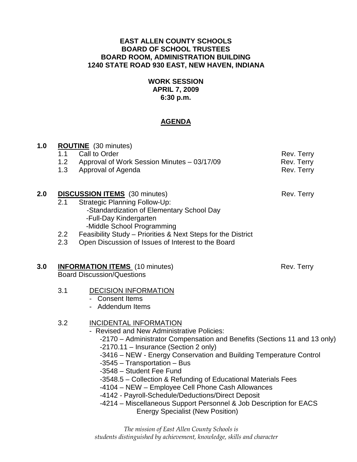### **EAST ALLEN COUNTY SCHOOLS BOARD OF SCHOOL TRUSTEES BOARD ROOM, ADMINISTRATION BUILDING 1240 STATE ROAD 930 EAST, NEW HAVEN, INDIANA**

### **WORK SESSION APRIL 7, 2009 6:30 p.m.**

# **AGENDA**

| 1.0 | 1.1 | <b>ROUTINE</b> (30 minutes)<br>Call to Order                                                                                                                                                                                                                                                                                           | Rev. Terry                                                                                                                                                                                                                                                                              |  |
|-----|-----|----------------------------------------------------------------------------------------------------------------------------------------------------------------------------------------------------------------------------------------------------------------------------------------------------------------------------------------|-----------------------------------------------------------------------------------------------------------------------------------------------------------------------------------------------------------------------------------------------------------------------------------------|--|
|     |     | 1.2 Approval of Work Session Minutes - 03/17/09                                                                                                                                                                                                                                                                                        | Rev. Terry                                                                                                                                                                                                                                                                              |  |
|     |     | 1.3 Approval of Agenda                                                                                                                                                                                                                                                                                                                 | Rev. Terry                                                                                                                                                                                                                                                                              |  |
| 2.0 | 2.1 | <b>DISCUSSION ITEMS</b> (30 minutes)<br><b>Strategic Planning Follow-Up:</b><br>-Standardization of Elementary School Day<br>-Full-Day Kindergarten<br>-Middle School Programming                                                                                                                                                      | Rev. Terry                                                                                                                                                                                                                                                                              |  |
|     | 2.2 | Feasibility Study - Priorities & Next Steps for the District                                                                                                                                                                                                                                                                           |                                                                                                                                                                                                                                                                                         |  |
|     | 2.3 | Open Discussion of Issues of Interest to the Board                                                                                                                                                                                                                                                                                     |                                                                                                                                                                                                                                                                                         |  |
| 3.0 |     | <b>INFORMATION ITEMS</b> (10 minutes)<br>Rev. Terry<br><b>Board Discussion/Questions</b>                                                                                                                                                                                                                                               |                                                                                                                                                                                                                                                                                         |  |
|     | 3.1 | <b>DECISION INFORMATION</b><br>- Consent Items<br>- Addendum Items                                                                                                                                                                                                                                                                     |                                                                                                                                                                                                                                                                                         |  |
|     | 3.2 | <b>INCIDENTAL INFORMATION</b><br>- Revised and New Administrative Policies:<br>-2170.11 - Insurance (Section 2 only)<br>-3545 - Transportation - Bus<br>-3548 - Student Fee Fund<br>-4104 - NEW - Employee Cell Phone Cash Allowances<br>-4142 - Payroll-Schedule/Deductions/Direct Deposit<br><b>Energy Specialist (New Position)</b> | -2170 – Administrator Compensation and Benefits (Sections 11 and 13 only)<br>-3416 - NEW - Energy Conservation and Building Temperature Control<br>-3548.5 – Collection & Refunding of Educational Materials Fees<br>-4214 - Miscellaneous Support Personnel & Job Description for EACS |  |
|     |     |                                                                                                                                                                                                                                                                                                                                        |                                                                                                                                                                                                                                                                                         |  |